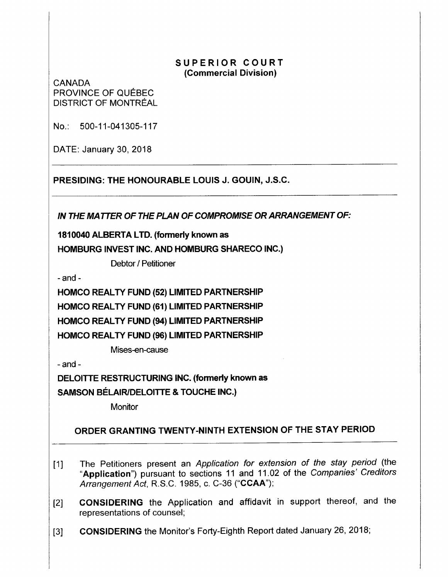## **SUPERIOR COURT (Commercial Division)**

**CANADA** PROVINCE OF QUÉBEC DISTRICT OF MONTREAL

No.: 500-11-041305-117

DATE: January 30, 2018

**PRESIDING: THE HONOURABLE LOUIS J. GOUIN, J.S.C.** 

**IN THE MATTER OF THE PLAN OF COMPROMISE OR ARRANGEMENT OF:** 

**1810040 ALBERTA LTD. (formerly known as HOMBURG INVEST INC. AND HOMBURG SHARECO INC.)** 

Debtor / Petitioner

- and -

**HOMCO REAL TY FUND (52) LIMITED PARTNERSHIP HOMCO REAL TY FUND (61) LIMITED PARTNERSHIP HOMCO REAL TY FUND (94) LIMITED PARTNERSHIP HOMCO REAL TY FUND (96) LIMITED PARTNERSHIP** 

Mises-en-cause

-and-

**DELOITTE RESTRUCTURING INC. (formerly known as** 

**SAMSON BELAIR/DELOITTE** & **TOUCHE INC.)** 

**Monitor** 

## **ORDER GRANTING TWENTY-NINTH EXTENSION OF THE STAY PERIOD**

- [1] The Petitioners present an Application for extension of the stay period (the **"Application")** pursuant to sections 11 and 11.02 of the Companies' Creditors Arrangement Act, R.S.C. 1985, c. C-36 **("CCAA");**
- [2] **CONSIDERING** the Application and affidavit in support thereof, and the representations of counsel;
- [3] **CONSIDERING** the Monitor's Forty-Eighth Report dated January 26, 2018;